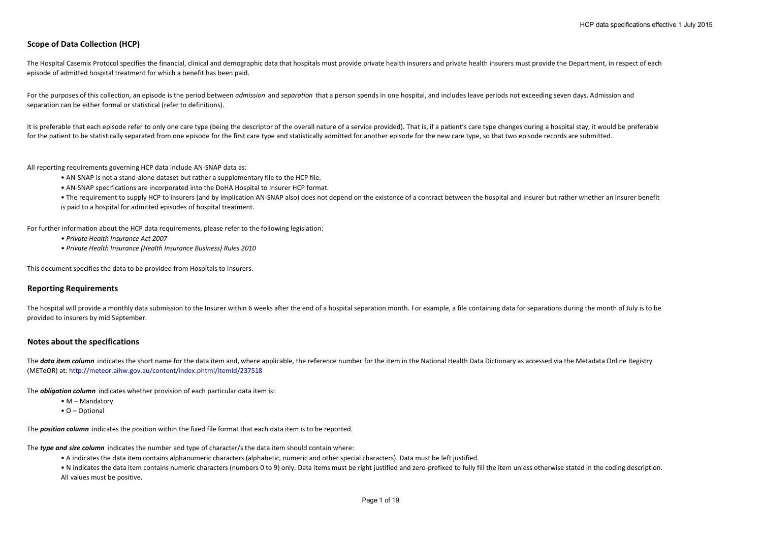# **Scope of Data Collection (HCP)**

The Hospital Casemix Protocol specifies the financial, clinical and demographic data that hospitals must provide private health insurers and private health insurers must provide the Department, in respect of each episode of admitted hospital treatment for which a benefit has been paid.

For the purposes of this collection, an episode is the period between *admission* and *separation* that a person spends in one hospital, and includes leave periods not exceeding seven days. Admission and separation can be either formal or statistical (refer to definitions).

It is preferable that each episode refer to only one care type (being the descriptor of the overall nature of a service provided). That is, if a patient's care type changes during a hospital stay, it would be preferable for the patient to be statistically separated from one episode for the first care type and statistically admitted for another episode for the new care type, so that two episode records are submitted.

All reporting requirements governing HCP data include AN-SNAP data as:

- AN-SNAP is not a stand-alone dataset but rather a supplementary file to the HCP file.
- AN-SNAP specifications are incorporated into the DoHA Hospital to Insurer HCP format.
- The requirement to supply HCP to insurers (and by implication AN-SNAP also) does not depend on the existence of a contract between the hospital and insurer but rather whether an insurer benefit is paid to a hospital for admitted episodes of hospital treatment.

For further information about the HCP data requirements, please refer to the following legislation:

- *Private Health Insurance Act 2007*
- *Private Health Insurance (Health Insurance Business) Rules 2010*

This document specifies the data to be provided from Hospitals to Insurers.

#### **Reporting Requirements**

The hospital will provide a monthly data submission to the Insurer within 6 weeks after the end of a hospital separation month. For example, a file containing data for separations during the month of July is to be provided to insurers by mid September.

#### **Notes about the specifications**

The **data item column** indicates the short name for the data item and, where applicable, the reference number for the item in the National Health Data Dictionary as accessed via the Metadata Online Registry (METeOR) at: http://meteor.aihw.gov.au/content/index.phtml/itemId/237518

The *obligation column* indicates whether provision of each particular data item is:

- M Mandatory
- O Optional

The *position column* indicates the position within the fixed file format that each data item is to be reported.

The *type and size column* indicates the number and type of character/s the data item should contain where:

• A indicates the data item contains alphanumeric characters (alphabetic, numeric and other special characters). Data must be left justified.

• N indicates the data item contains numeric characters (numbers 0 to 9) only. Data items must be right justified and zero-prefixed to fully fill the item unless otherwise stated in the coding description. All values must be positive.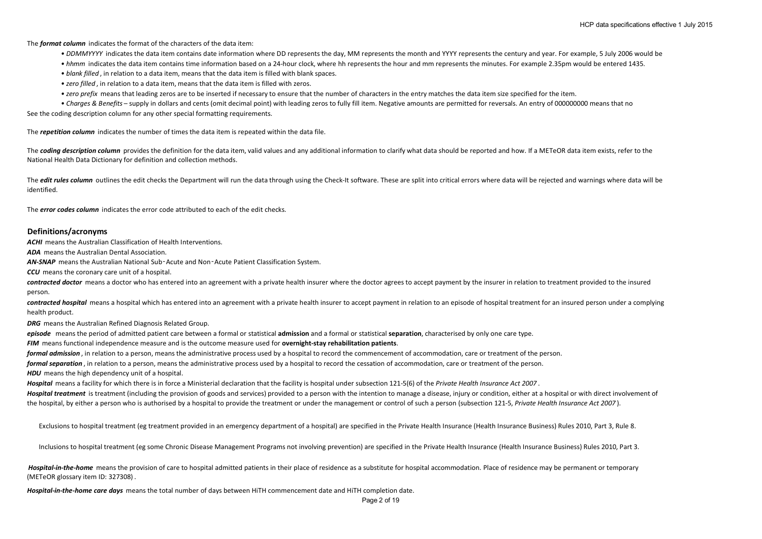The *format column* indicates the format of the characters of the data item:

- *DDMMYYYY* indicates the data item contains date information where DD represents the day, MM represents the month and YYYY represents the century and year. For example, 5 July 2006 would be
- *hhmm* indicates the data item contains time information based on a 24-hour clock, where hh represents the hour and mm represents the minutes. For example 2.35pm would be entered 1435.
- *blank filled* , in relation to a data item, means that the data item is filled with blank spaces.
- *zero filled* , in relation to a data item, means that the data item is filled with zeros.
- *zero prefix* means that leading zeros are to be inserted if necessary to ensure that the number of characters in the entry matches the data item size specified for the item.
- See the coding description column for any other special formatting requirements. *• Charges & Benefits* – supply in dollars and cents (omit decimal point) with leading zeros to fully fill item. Negative amounts are permitted for reversals. An entry of 000000000 means that no

The *repetition column* indicates the number of times the data item is repeated within the data file.

The **coding description column** provides the definition for the data item, valid values and any additional information to clarify what data should be reported and how. If a METeOR data item exists, refer to the National Health Data Dictionary for definition and collection methods.

The *edit rules column* outlines the edit checks the Department will run the data through using the Check-It software. These are split into critical errors where data will be rejected and warnings where data will be identified.

The *error codes column* indicates the error code attributed to each of the edit checks.

#### **Definitions/acronyms**

*ACHI* means the Australian Classification of Health Interventions.

*ADA* means the Australian Dental Association.

*AN-SNAP* means the Australian National Sub‑Acute and Non‑Acute Patient Classification System.

*CCU* means the coronary care unit of a hospital.

**contracted doctor** means a doctor who has entered into an agreement with a private health insurer where the doctor agrees to accept payment by the insurer in relation to treatment provided to the insured person.

contracted hospital means a hospital which has entered into an agreement with a private health insurer to accept payment in relation to an episode of hospital treatment for an insured person under a complying health product.

*DRG* means the Australian Refined Diagnosis Related Group.

*episode* means the period of admitted patient care between a formal or statistical **admission** and a formal or statistical **separation**, characterised by only one care type.

*FIM* means functional independence measure and is the outcome measure used for **overnight-stay rehabilitation patients**.

*formal admission* , in relation to a person, means the administrative process used by a hospital to record the commencement of accommodation, care or treatment of the person.

*formal separation* , in relation to a person, means the administrative process used by a hospital to record the cessation of accommodation, care or treatment of the person.

**HDU** means the high dependency unit of a hospital.

*Hospital* means a facility for which there is in force a Ministerial declaration that the facility is hospital under subsection 121-5(6) of the *Private Health Insurance Act 2007* . Hospital treatment is treatment (including the provision of goods and services) provided to a person with the intention to manage a disease, injury or condition, either at a hospital or with direct involvement of

the hospital, by either a person who is authorised by a hospital to provide the treatment or under the management or control of such a person (subsection 121-5, *Private Health Insurance Act 2007* ).

Exclusions to hospital treatment (eg treatment provided in an emergency department of a hospital) are specified in the Private Health Insurance (Health Insurance Business) Rules 2010, Part 3, Rule 8.

Inclusions to hospital treatment (eg some Chronic Disease Management Programs not involving prevention) are specified in the Private Health Insurance (Health Insurance Business) Rules 2010, Part 3.

Hospital-in-the-home means the provision of care to hospital admitted patients in their place of residence as a substitute for hospital accommodation. Place of residence may be permanent or temporary (METeOR glossary item ID: 327308) .

*Hospital-in-the-home care days* means the total number of days between HiTH commencement date and HiTH completion date.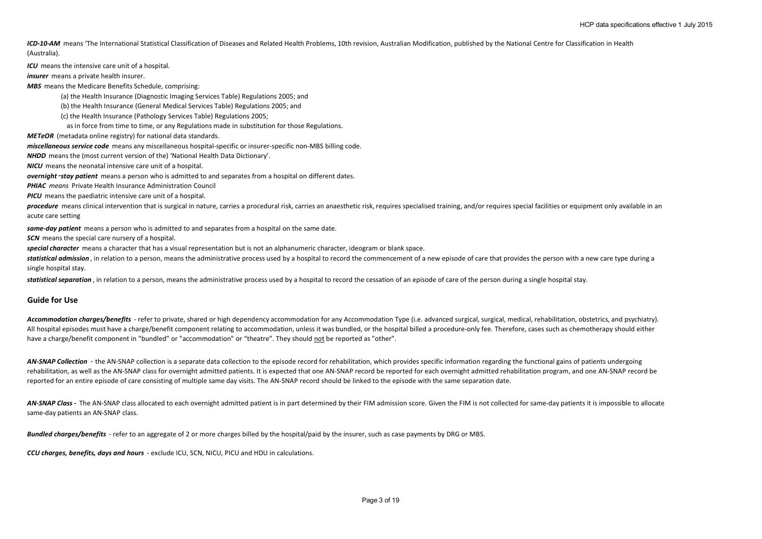ICD-10-AM means 'The International Statistical Classification of Diseases and Related Health Problems, 10th revision, Australian Modification, published by the National Centre for Classification in Health (Australia).

*ICU* means the intensive care unit of a hospital.

*insurer* means a private health insurer.

*MBS* means the Medicare Benefits Schedule, comprising:

(a) the Health Insurance (Diagnostic Imaging Services Table) Regulations 2005; and

(b) the Health Insurance (General Medical Services Table) Regulations 2005; and

(c) the Health Insurance (Pathology Services Table) Regulations 2005;

as in force from time to time, or any Regulations made in substitution for those Regulations.

*METeOR* (metadata online registry) for national data standards.

*miscellaneous service code* means any miscellaneous hospital-specific or insurer-specific non-MBS billing code.

*NHDD* means the (most current version of the) 'National Health Data Dictionary'.

*NICU* means the neonatal intensive care unit of a hospital.

*overnight*‑*stay patient* means a person who is admitted to and separates from a hospital on different dates.

*PHIAC means* Private Health Insurance Administration Council

*PICU* means the paediatric intensive care unit of a hospital.

procedure means clinical intervention that is surgical in nature, carries a procedural risk, carries an anaesthetic risk, requires specialised training, and/or requires special facilities or equipment only available in an acute care setting

*same-day patient* means a person who is admitted to and separates from a hospital on the same date.

**SCN** means the special care nursery of a hospital.

*special character* means a character that has a visual representation but is not an alphanumeric character, ideogram or blank space.

statistical admission, in relation to a person, means the administrative process used by a hospital to record the commencement of a new episode of care that provides the person with a new care type during a single hospital stay.

*statistical separation* , in relation to a person, means the administrative process used by a hospital to record the cessation of an episode of care of the person during a single hospital stay.

#### **Guide for Use**

Accommodation charges/benefits - refer to private, shared or high dependency accommodation for any Accommodation Type (i.e. advanced surgical, surgical, medical, rehabilitation, obstetrics, and psychiatry). All hospital episodes must have a charge/benefit component relating to accommodation, unless it was bundled, or the hospital billed a procedure-only fee. Therefore, cases such as chemotherapy should either have a charge/benefit component in "bundled" or "accommodation" or "theatre". They should not be reported as "other".

AN-SNAP Collection - the AN-SNAP collection is a separate data collection to the episode record for rehabilitation, which provides specific information regarding the functional gains of patients undergoing rehabilitation, as well as the AN-SNAP class for overnight admitted patients. It is expected that one AN-SNAP record be reported for each overnight admitted rehabilitation program, and one AN-SNAP record be reported for an entire episode of care consisting of multiple same day visits. The AN-SNAP record should be linked to the episode with the same separation date.

AN-SNAP Class - The AN-SNAP class allocated to each overnight admitted patient is in part determined by their FIM admission score. Given the FIM is not collected for same-day patients it is impossible to allocate same-day patients an AN-SNAP class.

*Bundled charges/benefits* - refer to an aggregate of 2 or more charges billed by the hospital/paid by the insurer, such as case payments by DRG or MBS.

*CCU charges, benefits, days and hours* - exclude ICU, SCN, NICU, PICU and HDU in calculations.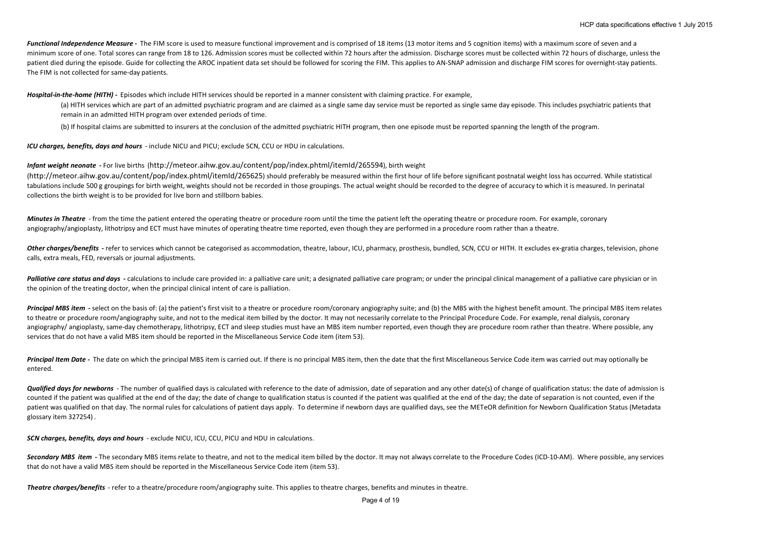*Functional Independence Measure -* The FIM score is used to measure functional improvement and is comprised of 18 items (13 motor items and 5 cognition items) with a maximum score of seven and a minimum score of one. Total scores can range from 18 to 126. Admission scores must be collected within 72 hours after the admission. Discharge scores must be collected within 72 hours of discharge, unless the patient died during the episode. Guide for collecting the AROC inpatient data set should be followed for scoring the FIM. This applies to AN-SNAP admission and discharge FIM scores for overnight-stay patients. The FIM is not collected for same-day patients.

*Hospital-in-the-home (HITH) -* Episodes which include HITH services should be reported in a manner consistent with claiming practice. For example,

(a) HITH services which are part of an admitted psychiatric program and are claimed as a single same day service must be reported as single same day episode. This includes psychiatric patients that remain in an admitted HITH program over extended periods of time.

(b) If hospital claims are submitted to insurers at the conclusion of the admitted psychiatric HITH program, then one episode must be reported spanning the length of the program.

*ICU charges, benefits, days and hours* - include NICU and PICU; exclude SCN, CCU or HDU in calculations.

*Infant weight neonate* **-** For live births (http://meteor.aihw.gov.au/content/pop/index.phtml/itemId/265594), birth weight

(http://meteor.aihw.gov.au/content/pop/index.phtml/itemId/265625) should preferably be measured within the first hour of life before significant postnatal weight loss has occurred. While statistical tabulations include 500 g groupings for birth weight, weights should not be recorded in those groupings. The actual weight should be recorded to the degree of accuracy to which it is measured. In perinatal collections the birth weight is to be provided for live born and stillborn babies.

*Minutes in Theatre* - from the time the patient entered the operating theatre or procedure room until the time the patient left the operating theatre or procedure room. For example, coronary angiography/angioplasty, lithotripsy and ECT must have minutes of operating theatre time reported, even though they are performed in a procedure room rather than a theatre.

Other charges/benefits - refer to services which cannot be categorised as accommodation, theatre, labour, ICU, pharmacy, prosthesis, bundled, SCN, CCU or HITH. It excludes ex-gratia charges, television, phone calls, extra meals, FED, reversals or journal adjustments.

**Palliative care status and days** - calculations to include care provided in: a palliative care unit; a designated palliative care program; or under the principal clinical management of a palliative care physician or in the opinion of the treating doctor, when the principal clinical intent of care is palliation.

Principal MBS item - select on the basis of: (a) the patient's first visit to a theatre or procedure room/coronary angiography suite; and (b) the MBS with the highest benefit amount. The principal MBS item relates to theatre or procedure room/angiography suite, and not to the medical item billed by the doctor. It may not necessarily correlate to the Principal Procedure Code. For example, renal dialysis, coronary angiography/ angioplasty, same-day chemotherapy, lithotripsy, ECT and sleep studies must have an MBS item number reported, even though they are procedure room rather than theatre. Where possible, any services that do not have a valid MBS item should be reported in the Miscellaneous Service Code item (item 53).

Principal Item Date - The date on which the principal MBS item is carried out. If there is no principal MBS item, then the date that the first Miscellaneous Service Code item was carried out may optionally be entered.

Qualified days for newborns - The number of qualified days is calculated with reference to the date of admission, date of separation and any other date(s) of change of qualification status: the date of admission is counted if the patient was qualified at the end of the day; the date of change to qualification status is counted if the patient was qualified at the end of the day; the date of separation is not counted, even if the patient was qualified on that day. The normal rules for calculations of patient days apply. To determine if newborn days are qualified days, see the METeOR definition for Newborn Qualification Status (Metadata glossary item 327254) .

*SCN charges, benefits, days and hours* - exclude NICU, ICU, CCU, PICU and HDU in calculations.

Secondary MBS item - The secondary MBS items relate to theatre, and not to the medical item billed by the doctor. It may not always correlate to the Procedure Codes (ICD-10-AM). Where possible, any services that do not have a valid MBS item should be reported in the Miscellaneous Service Code item (item 53).

*Theatre charges/benefits* - refer to a theatre/procedure room/angiography suite. This applies to theatre charges, benefits and minutes in theatre.

Page 4 of 19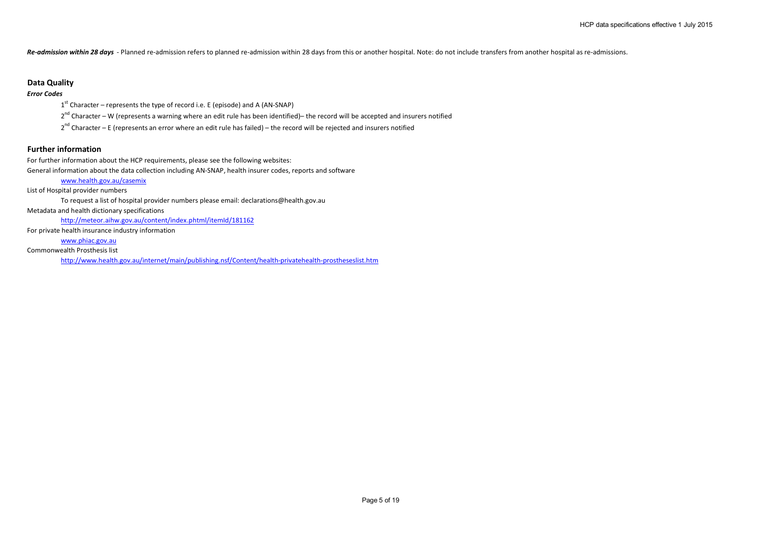*Re-admission within 28 days* - Planned re-admission refers to planned re-admission within 28 days from this or another hospital. Note: do not include transfers from another hospital as re-admissions.

## **Data Quality**

# *Error Codes*

 $1<sup>st</sup>$  Character – represents the type of record i.e. E (episode) and A (AN-SNAP)

 $2^{nd}$  Character – W (represents a warning where an edit rule has been identified)– the record will be accepted and insurers notified

 $2^{nd}$  Character – E (represents an error where an edit rule has failed) – the record will be rejected and insurers notified

# **Further information**

For further information about the HCP requirements, please see the following websites:

General information about the data collection including AN-SNAP, health insurer codes, reports and software

#### www.health.gov.au/casemix

List of Hospital provider numbers

To request a list of hospital provider numbers please email: declarations@health.gov.au

Metadata and health dictionary specifications

http://meteor.aihw.gov.au/content/index.phtml/itemId/181162

For private health insurance industry information

www.phiac.gov.au

Commonwealth Prosthesis list

http://www.health.gov.au/internet/main/publishing.nsf/Content/health-privatehealth-prostheseslist.htm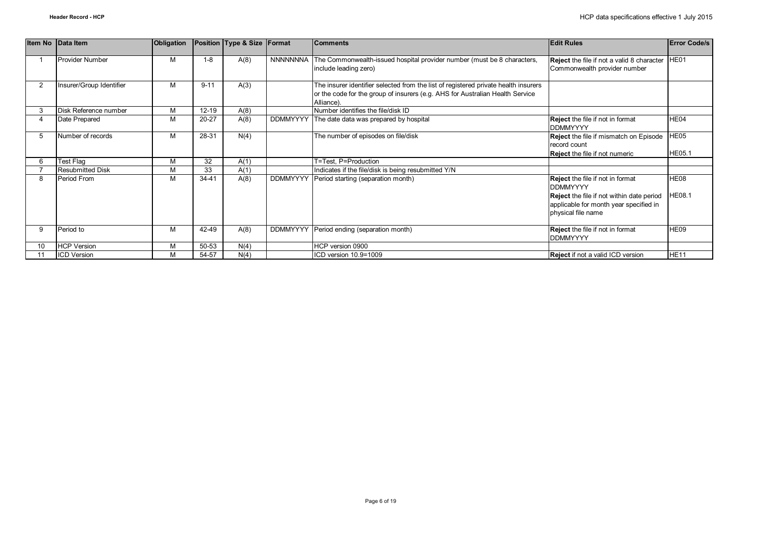|    | Item No Data Item        | Obligation |           | Position Type & Size | Format          | <b>Comments</b>                                                                     | <b>Edit Rules</b>                                | <b>Error Code/s</b> |
|----|--------------------------|------------|-----------|----------------------|-----------------|-------------------------------------------------------------------------------------|--------------------------------------------------|---------------------|
|    |                          |            |           |                      |                 |                                                                                     |                                                  |                     |
|    | <b>Provider Number</b>   | м          | $1 - 8$   | A(8)                 | <b>NNNNNNNA</b> | The Commonwealth-issued hospital provider number (must be 8 characters,             | Reject the file if not a valid 8 character       | HE01                |
|    |                          |            |           |                      |                 | include leading zero)                                                               | Commonwealth provider number                     |                     |
|    |                          |            |           |                      |                 |                                                                                     |                                                  |                     |
|    | Insurer/Group Identifier | м          | $9 - 11$  | A(3)                 |                 | The insurer identifier selected from the list of registered private health insurers |                                                  |                     |
|    |                          |            |           |                      |                 | or the code for the group of insurers (e.g. AHS for Australian Health Service       |                                                  |                     |
|    |                          |            |           |                      |                 | Alliance).                                                                          |                                                  |                     |
|    | Disk Reference number    | M          | $12 - 19$ | A(8)                 |                 | Number identifies the file/disk ID                                                  |                                                  |                     |
|    | Date Prepared            | M          | $20 - 27$ | A(8)                 |                 | DDMMYYYY The date data was prepared by hospital                                     | <b>Reject</b> the file if not in format          | HE04                |
|    |                          |            |           |                      |                 |                                                                                     | <b>DDMMYYYY</b>                                  |                     |
| 5  | Number of records        | M          | 28-31     | N(4)                 |                 | The number of episodes on file/disk                                                 | <b>Reject</b> the file if mismatch on Episode    | HE05                |
|    |                          |            |           |                      |                 |                                                                                     | record count                                     |                     |
|    |                          |            |           |                      |                 |                                                                                     | <b>Reject</b> the file if not numeric            | HE05.1              |
|    | Test Flag                | M          | 32        | A(1)                 |                 | T=Test, P=Production                                                                |                                                  |                     |
|    | <b>Resubmitted Disk</b>  | M          | 33        | A(1)                 |                 | Indicates if the file/disk is being resubmitted Y/N                                 |                                                  |                     |
| 8  | Period From              | M          | 34-41     | A(8)                 | <b>DDMMYYYY</b> | Period starting (separation month)                                                  | <b>Reject</b> the file if not in format          | HE08                |
|    |                          |            |           |                      |                 |                                                                                     | <b>DDMMYYYY</b>                                  |                     |
|    |                          |            |           |                      |                 |                                                                                     | <b>Reject</b> the file if not within date period | <b>HE08.1</b>       |
|    |                          |            |           |                      |                 |                                                                                     | applicable for month year specified in           |                     |
|    |                          |            |           |                      |                 |                                                                                     | physical file name                               |                     |
|    |                          |            |           |                      |                 |                                                                                     |                                                  |                     |
| 9  | Period to                | M          | 42-49     | A(8)                 | <b>DDMMYYYY</b> | Period ending (separation month)                                                    | Reject the file if not in format                 | HE09                |
|    |                          |            |           |                      |                 |                                                                                     | <b>DDMMYYYY</b>                                  |                     |
| 10 | <b>HCP Version</b>       | м          | 50-53     | N(4)                 |                 | HCP version 0900                                                                    |                                                  |                     |
|    | <b>ICD Version</b>       | м          | 54-57     | N(4)                 |                 | ICD version 10.9=1009                                                               | <b>Reject</b> if not a valid ICD version         | <b>HE11</b>         |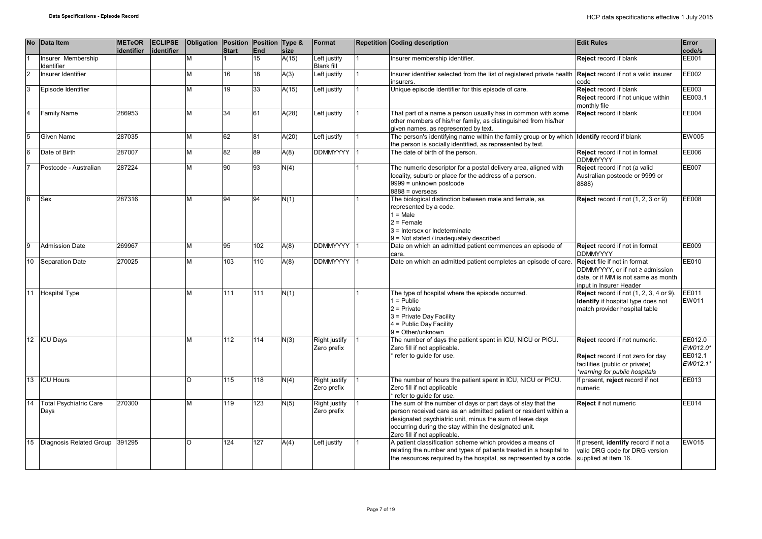|                | No Data Item                            | <b>METeOR</b><br>identifier | <b>ECLIPSE</b><br>identifier | Obligation Position Position Type & | <b>Start</b>     | End | size  | Format                            | <b>Repetition Coding description</b>                                                                                                                                                                                                                                                 | <b>Edit Rules</b>                                                                                                                        | Error<br>code/s                            |
|----------------|-----------------------------------------|-----------------------------|------------------------------|-------------------------------------|------------------|-----|-------|-----------------------------------|--------------------------------------------------------------------------------------------------------------------------------------------------------------------------------------------------------------------------------------------------------------------------------------|------------------------------------------------------------------------------------------------------------------------------------------|--------------------------------------------|
|                | Insurer Membership<br><b>Identifier</b> |                             |                              | M                                   |                  | 15  | A(15) | Left justify<br><b>Blank fill</b> | Insurer membership identifier.                                                                                                                                                                                                                                                       | Reject record if blank                                                                                                                   | <b>EE001</b>                               |
| $\overline{2}$ | Insurer Identifier                      |                             |                              | M                                   | 16               | 18  | A(3)  | Left justify                      | Insurer identifier selected from the list of registered private health<br>insurers.                                                                                                                                                                                                  | Reject record if not a valid insurer<br>code                                                                                             | EE002                                      |
| l3             | Episode Identifier                      |                             |                              | M                                   | 19               | 33  | A(15) | Left justify                      | Unique episode identifier for this episode of care.                                                                                                                                                                                                                                  | Reject record if blank<br>Reject record if not unique within<br>monthly file                                                             | EE003<br>EE003.1                           |
| 14             | <b>Family Name</b>                      | 286953                      |                              | M                                   | 34               | 61  | A(28) | Left justify                      | That part of a name a person usually has in common with some<br>other members of his/her family, as distinguished from his/her<br>given names, as represented by text.                                                                                                               | Reject record if blank                                                                                                                   | <b>EE004</b>                               |
| 15             | Given Name                              | 287035                      |                              | M                                   | 62               | 81  | A(20) | Left justify                      | The person's identifying name within the family group or by which<br>the person is socially identified, as represented by text.                                                                                                                                                      | Identify record if blank                                                                                                                 | EW005                                      |
| 6              | Date of Birth                           | 287007                      |                              | M                                   | 82               | 89  | A(8)  | <b>DDMMYYYY</b>                   | The date of birth of the person.                                                                                                                                                                                                                                                     | Reject record if not in format<br><b>DDMMYYYY</b>                                                                                        | EE006                                      |
|                | Postcode - Australian                   | 287224                      |                              | M                                   | 90               | 93  | N(4)  |                                   | The numeric descriptor for a postal delivery area, aligned with<br>locality, suburb or place for the address of a person.<br>9999 = unknown postcode<br>$8888 = 0$ verseas                                                                                                           | Reject record if not (a valid<br>Australian postcode or 9999 or<br>8888)                                                                 | <b>EE007</b>                               |
| lя             | Sex                                     | 287316                      |                              | M                                   | 94               | 94  | N(1)  |                                   | The biological distinction between male and female, as<br>represented by a code.<br>$1 = Male$<br>$2$ = Female<br>3 = Intersex or Indeterminate<br>9 = Not stated / inadequately described                                                                                           | Reject record if not (1, 2, 3 or 9)                                                                                                      | EE008                                      |
| <b>g</b>       | <b>Admission Date</b>                   | 269967                      |                              | M                                   | 95               | 102 | A(8)  | DDMMYYYY 1                        | Date on which an admitted patient commences an episode of<br>care.                                                                                                                                                                                                                   | Reject record if not in format<br><b>DDMMYYYY</b>                                                                                        | EE009                                      |
| 10             | <b>Separation Date</b>                  | 270025                      |                              | M                                   | 103              | 110 | A(8)  | DDMMYYYY                          | Date on which an admitted patient completes an episode of care.                                                                                                                                                                                                                      | <b>Reject</b> file if not in format<br>DDMMYYYY, or if not ≥ admission<br>date, or if MM is not same as month<br>input in Insurer Header | EE010                                      |
| 11             | <b>Hospital Type</b>                    |                             |                              | M                                   | 111              | 111 | N(1)  |                                   | The type of hospital where the episode occurred.<br>$1 =$ Public<br>$2$ = Private<br>3 = Private Day Facility<br>$4$ = Public Day Facility<br>$9 = Other/unknown$                                                                                                                    | <b>Reject</b> record if not (1, 2, 3, 4 or 9).<br>Identify if hospital type does not<br>match provider hospital table                    | EE011<br><b>EW011</b>                      |
|                | 12 ICU Days                             |                             |                              | M                                   | 112              | 114 | N(3)  | Right justify<br>Zero prefix      | The number of days the patient spent in ICU, NICU or PICU.<br>Zero fill if not applicable.<br>refer to guide for use.                                                                                                                                                                | Reject record if not numeric.<br>Reject record if not zero for day<br>facilities (public or private)<br>*warning for public hospitals    | EE012.0<br>EW012.0*<br>EE012.1<br>EW012.1* |
| 13             | <b>ICU Hours</b>                        |                             |                              | $\circ$                             | 115              | 118 | N(4)  | Right justify<br>Zero prefix      | The number of hours the patient spent in ICU, NICU or PICU.<br>Zero fill if not applicable<br>refer to quide for use.                                                                                                                                                                | If present, reject record if not<br>numeric                                                                                              | EE013                                      |
| 14             | <b>Total Psychiatric Care</b><br>Days   | 270300                      |                              | M                                   | $\overline{119}$ | 123 | N(5)  | Right justify<br>Zero prefix      | The sum of the number of days or part days of stay that the<br>person received care as an admitted patient or resident within a<br>designated psychiatric unit, minus the sum of leave days<br>occurring during the stay within the designated unit.<br>Zero fill if not applicable. | Reject if not numeric                                                                                                                    | <b>EE014</b>                               |
| 15             | Diagnosis Related Group 391295          |                             |                              | $\Omega$                            | 124              | 127 | A(4)  | Left justify                      | A patient classification scheme which provides a means of<br>relating the number and types of patients treated in a hospital to<br>the resources required by the hospital, as represented by a code.                                                                                 | If present, identify record if not a<br>valid DRG code for DRG version<br>supplied at item 16.                                           | <b>EW015</b>                               |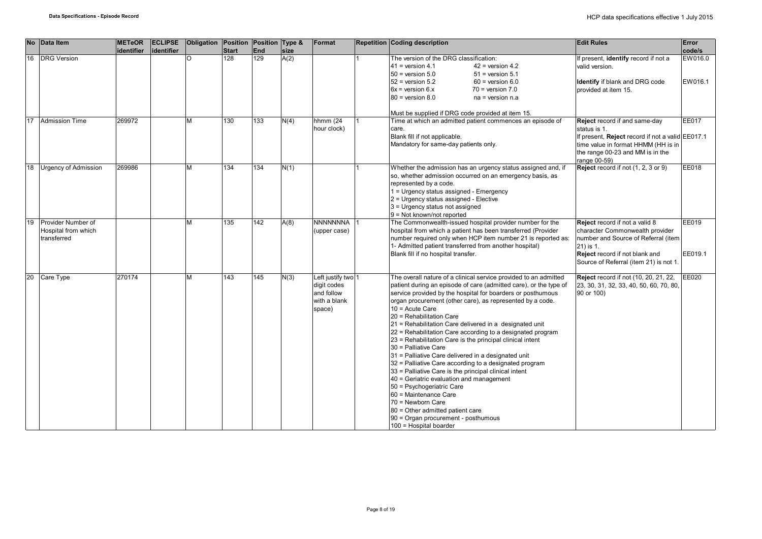|    | No Data Item                                             | <b>METeOR</b><br>identifier | <b>ECLIPSE</b><br>lidentifier | Obligation Position Position Type & | Start | End | size | Format                                                                    | <b>Repetition Coding description</b>                                                                                                                                                                                                                                                                                                                                                                                                                                                                                                                                                                                                                                                                                                                                                                                                                                                                                                   | <b>Edit Rules</b>                                                                                                                                                                                 | Error<br>code/s    |
|----|----------------------------------------------------------|-----------------------------|-------------------------------|-------------------------------------|-------|-----|------|---------------------------------------------------------------------------|----------------------------------------------------------------------------------------------------------------------------------------------------------------------------------------------------------------------------------------------------------------------------------------------------------------------------------------------------------------------------------------------------------------------------------------------------------------------------------------------------------------------------------------------------------------------------------------------------------------------------------------------------------------------------------------------------------------------------------------------------------------------------------------------------------------------------------------------------------------------------------------------------------------------------------------|---------------------------------------------------------------------------------------------------------------------------------------------------------------------------------------------------|--------------------|
| 16 | <b>DRG</b> Version                                       |                             |                               | O                                   | 128   | 129 | A(2) |                                                                           | The version of the DRG classification:<br>$41$ = version 4.1<br>$42$ = version 4.2<br>$50$ = version $5.0$<br>$51$ = version $5.1$<br>$52$ = version $5.2$<br>$60 =$ version $6.0$<br>$6x =$ version $6.x$<br>$70$ = version $7.0$<br>$80$ = version $8.0$<br>$na = version n.a$<br>Must be supplied if DRG code provided at item 15.                                                                                                                                                                                                                                                                                                                                                                                                                                                                                                                                                                                                  | If present, identify record if not a<br>valid version.<br><b>Identify</b> if blank and DRG code<br>provided at item 15.                                                                           | EW016.0<br>EW016.1 |
| 17 | <b>Admission Time</b>                                    | 269972                      |                               | M                                   | 130   | 133 | N(4) | hhmm (24<br>hour clock)                                                   | Time at which an admitted patient commences an episode of<br>care.<br>Blank fill if not applicable.<br>Mandatory for same-day patients only.                                                                                                                                                                                                                                                                                                                                                                                                                                                                                                                                                                                                                                                                                                                                                                                           | Reject record if and same-day<br>status is 1.<br>If present, Reject record if not a valid EE017.1<br>time value in format HHMM (HH is in<br>the range 00-23 and MM is in the<br>range 00-59)      | <b>EE017</b>       |
| 18 | <b>Urgency of Admission</b>                              | 269986                      |                               | M                                   | 134   | 134 | N(1) |                                                                           | Whether the admission has an urgency status assigned and, if<br>so, whether admission occurred on an emergency basis, as<br>represented by a code.<br>1 = Urgency status assigned - Emergency<br>$2$ = Urgency status assigned - Elective<br>3 = Urgency status not assigned<br>9 = Not known/not reported                                                                                                                                                                                                                                                                                                                                                                                                                                                                                                                                                                                                                             | Reject record if not (1, 2, 3 or 9)                                                                                                                                                               | <b>EE018</b>       |
| 19 | Provider Number of<br>Hospital from which<br>transferred |                             |                               | M                                   | 135   | 142 | A(8) | <b>NNNNNNNA</b><br>(upper case)                                           | The Commonwealth-issued hospital provider number for the<br>hospital from which a patient has been transferred (Provider<br>number required only when HCP item number 21 is reported as:<br>1- Admitted patient transferred from another hospital)<br>Blank fill if no hospital transfer.                                                                                                                                                                                                                                                                                                                                                                                                                                                                                                                                                                                                                                              | Reject record if not a valid 8<br>character Commonwealth provider<br>number and Source of Referral (item<br>21) is 1.<br>Reject record if not blank and<br>Source of Referral (item 21) is not 1. | EE019<br>EE019.1   |
| 20 | Care Type                                                | 270174                      |                               | M                                   | 143   | 145 | N(3) | Left justify two 1<br>digit codes<br>and follow<br>with a blank<br>space) | The overall nature of a clinical service provided to an admitted<br>patient during an episode of care (admitted care), or the type of<br>service provided by the hospital for boarders or posthumous<br>organ procurement (other care), as represented by a code.<br>$10 =$ Acute Care<br>20 = Rehabilitation Care<br>21 = Rehabilitation Care delivered in a designated unit<br>22 = Rehabilitation Care according to a designated program<br>23 = Rehabilitation Care is the principal clinical intent<br>30 = Palliative Care<br>31 = Palliative Care delivered in a designated unit<br>32 = Palliative Care according to a designated program<br>33 = Palliative Care is the principal clinical intent<br>40 = Geriatric evaluation and management<br>50 = Psychogeriatric Care<br>60 = Maintenance Care<br>70 = Newborn Care<br>80 = Other admitted patient care<br>90 = Organ procurement - posthumous<br>100 = Hospital boarder | Reject record if not (10, 20, 21, 22,<br>23, 30, 31, 32, 33, 40, 50, 60, 70, 80,<br>90 or 100)                                                                                                    | <b>EE020</b>       |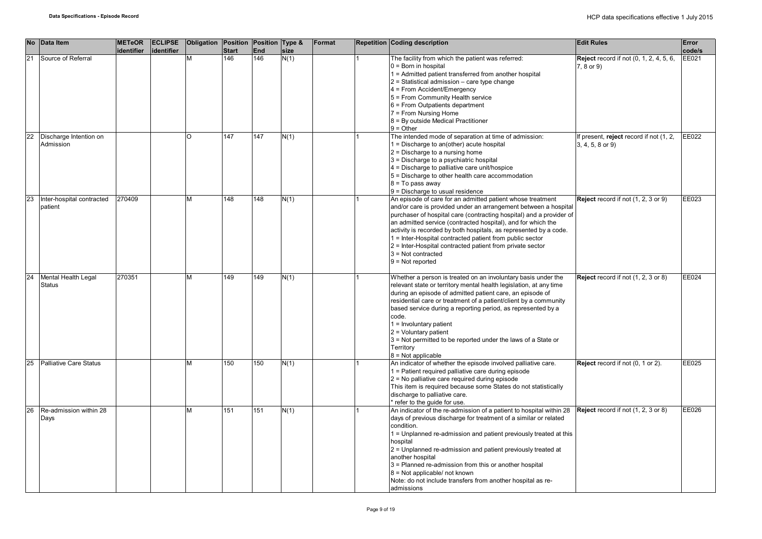| <b>No</b> | Data Item                            | <b>METeOR</b><br>identifier | <b>ECLIPSE</b><br>identifier | Obligation Position Position Type & | <b>Start</b> | End | size | Format | <b>Repetition Coding description</b>                                                                                                                                                                                                                                                                                                                                                                                                                                                                             | <b>Edit Rules</b>                                               | Error<br>code/s |
|-----------|--------------------------------------|-----------------------------|------------------------------|-------------------------------------|--------------|-----|------|--------|------------------------------------------------------------------------------------------------------------------------------------------------------------------------------------------------------------------------------------------------------------------------------------------------------------------------------------------------------------------------------------------------------------------------------------------------------------------------------------------------------------------|-----------------------------------------------------------------|-----------------|
| 21        | Source of Referral                   |                             |                              | M                                   | 146          | 146 | N(1) |        | The facility from which the patient was referred:<br>$0 = Born$ in hospital<br>1 = Admitted patient transferred from another hospital<br>$2$ = Statistical admission – care type change<br>4 = From Accident/Emergency<br>5 = From Community Health service<br>$6$ = From Outpatients department<br>7 = From Nursing Home<br>8 = By outside Medical Practitioner<br>$9 = Other$                                                                                                                                  | <b>Reject</b> record if not (0, 1, 2, 4, 5, 6,<br>7, 8 or 9)    | EE021           |
| 22        | Discharge Intention on<br>Admission  |                             |                              | റ                                   | 147          | 147 | N(1) |        | The intended mode of separation at time of admission:<br>1 = Discharge to an(other) acute hospital<br>$2$ = Discharge to a nursing home<br>3 = Discharge to a psychiatric hospital<br>4 = Discharge to palliative care unit/hospice<br>5 = Discharge to other health care accommodation<br>$8 = To pass away$<br>$9$ = Discharge to usual residence                                                                                                                                                              | If present, reject record if not (1, 2,<br>$3, 4, 5, 8$ or $9)$ | EE022           |
| 23        | Inter-hospital contracted<br>patient | 270409                      |                              | M                                   | 148          | 148 | N(1) |        | An episode of care for an admitted patient whose treatment<br>and/or care is provided under an arrangement between a hospital<br>purchaser of hospital care (contracting hospital) and a provider of<br>an admitted service (contracted hospital), and for which the<br>activity is recorded by both hospitals, as represented by a code.<br>1 = Inter-Hospital contracted patient from public sector<br>2 = Inter-Hospital contracted patient from private sector<br>$3$ = Not contracted<br>$9 = Not reported$ | Reject record if not (1, 2, 3 or 9)                             | EE023           |
| 24        | Mental Health Legal<br><b>Status</b> | 270351                      |                              | м                                   | 149          | 149 | N(1) |        | Whether a person is treated on an involuntary basis under the<br>relevant state or territory mental health legislation, at any time<br>during an episode of admitted patient care, an episode of<br>residential care or treatment of a patient/client by a community<br>based service during a reporting period, as represented by a<br>code.<br>$1 =$ Involuntary patient<br>$2 =$ Voluntary patient<br>$3$ = Not permitted to be reported under the laws of a State or<br>Territory<br>$8 = Not applicable$    | Reject record if not (1, 2, 3 or 8)                             | EE024           |
| 25        | <b>Palliative Care Status</b>        |                             |                              | м                                   | 150          | 150 | N(1) |        | An indicator of whether the episode involved palliative care.<br>1 = Patient required palliative care during episode<br>$2$ = No palliative care required during episode<br>This item is required because some States do not statistically<br>discharge to palliative care.<br>* refer to the guide for use.                                                                                                                                                                                                     | Reject record if not (0, 1 or 2).                               | EE025           |
| 26        | Re-admission within 28<br>Days       |                             |                              | M                                   | 151          | 151 | N(1) |        | An indicator of the re-admission of a patient to hospital within 28<br>days of previous discharge for treatment of a similar or related<br>condition.<br>1 = Unplanned re-admission and patient previously treated at this<br>hospital<br>2 = Unplanned re-admission and patient previously treated at<br>another hospital<br>3 = Planned re-admission from this or another hospital<br>$8$ = Not applicable/ not known<br>Note: do not include transfers from another hospital as re-<br>admissions             | Reject record if not (1, 2, 3 or 8)                             | EE026           |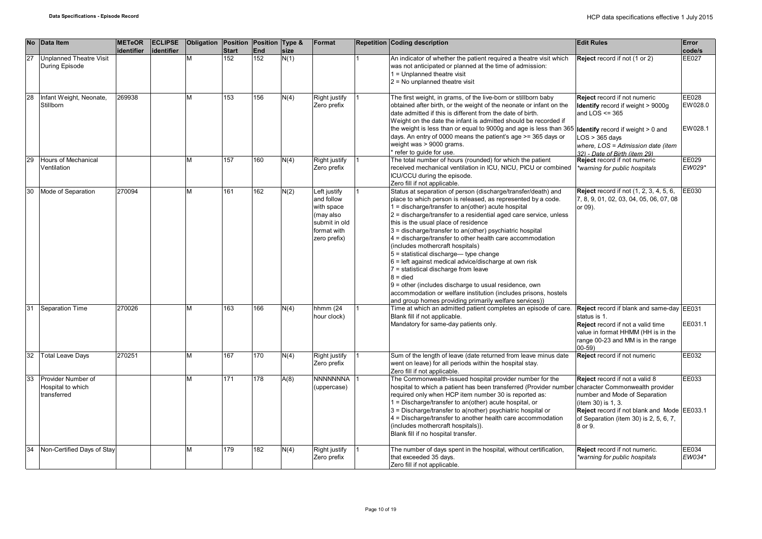|    | No Data Item                                           | <b>METeOR</b><br>lidentifier | <b>ECLIPSE</b><br>lidentifier | Obligation Position Position Type & | <b>Start</b> | <b>End</b> | size | Format                                                                                                | Repetition Coding description                                                                                                                                                                                                                                                                                                                                                                                                                                                                                                                                                                                                                                                                                                                                                                                      | <b>Edit Rules</b>                                                                                                                                                                                                             | Error<br>code/s             |
|----|--------------------------------------------------------|------------------------------|-------------------------------|-------------------------------------|--------------|------------|------|-------------------------------------------------------------------------------------------------------|--------------------------------------------------------------------------------------------------------------------------------------------------------------------------------------------------------------------------------------------------------------------------------------------------------------------------------------------------------------------------------------------------------------------------------------------------------------------------------------------------------------------------------------------------------------------------------------------------------------------------------------------------------------------------------------------------------------------------------------------------------------------------------------------------------------------|-------------------------------------------------------------------------------------------------------------------------------------------------------------------------------------------------------------------------------|-----------------------------|
| 27 | <b>Unplanned Theatre Visit</b><br>During Episode       |                              |                               | M                                   | 152          | 152        | N(1) |                                                                                                       | An indicator of whether the patient required a theatre visit which<br>was not anticipated or planned at the time of admission:<br>$1 =$ Unplanned theatre visit<br>$2$ = No unplanned theatre visit                                                                                                                                                                                                                                                                                                                                                                                                                                                                                                                                                                                                                | Reject record if not (1 or 2)                                                                                                                                                                                                 | <b>EE027</b>                |
| 28 | Infant Weight, Neonate,<br>Stillborn                   | 269938                       |                               | M                                   | 153          | 156        | N(4) | Right justify<br>Zero prefix                                                                          | The first weight, in grams, of the live-born or stillborn baby<br>obtained after birth, or the weight of the neonate or infant on the<br>date admitted if this is different from the date of birth.<br>Weight on the date the infant is admitted should be recorded if<br>the weight is less than or equal to 9000g and age is less than 365<br>days. An entry of 0000 means the patient's age >= 365 days or<br>weight was > 9000 grams.<br>refer to guide for use.                                                                                                                                                                                                                                                                                                                                               | Reject record if not numeric<br>Identify record if weight > 9000g<br>and LOS $\leq$ 365<br><b>Identify</b> record if weight > 0 and<br>$LOS > 365$ days<br>where, LOS = Admission date (item<br>32) - Date of Birth (item 29) | EE028<br>EW028.0<br>EW028.1 |
| 29 | <b>Hours of Mechanical</b><br>Ventilation              |                              |                               | M                                   | 157          | 160        | N(4) | Right justify<br>Zero prefix                                                                          | The total number of hours (rounded) for which the patient<br>received mechanical ventilation in ICU, NICU, PICU or combined<br>ICU/CCU during the episode.<br>Zero fill if not applicable.                                                                                                                                                                                                                                                                                                                                                                                                                                                                                                                                                                                                                         | Reject record if not numeric<br>*warning for public hospitals                                                                                                                                                                 | EE029<br>EW029*             |
| 30 | Mode of Separation                                     | 270094                       |                               | M                                   | 161          | 162        | N(2) | Left justify<br>and follow<br>with space<br>(may also<br>submit in old<br>format with<br>zero prefix) | Status at separation of person (discharge/transfer/death) and<br>place to which person is released, as represented by a code.<br>1 = discharge/transfer to an(other) acute hospital<br>2 = discharge/transfer to a residential aged care service, unless<br>this is the usual place of residence<br>3 = discharge/transfer to an(other) psychiatric hospital<br>4 = discharge/transfer to other health care accommodation<br>(includes mothercraft hospitals)<br>$5$ = statistical discharge— type change<br>$6$ = left against medical advice/discharge at own risk<br>7 = statistical discharge from leave<br>$8 =$ died<br>$9$ = other (includes discharge to usual residence, own<br>accommodation or welfare institution (includes prisons, hostels<br>and group homes providing primarily welfare services)) | Reject record if not (1, 2, 3, 4, 5, 6,<br>7, 8, 9, 01, 02, 03, 04, 05, 06, 07, 08<br>or 09).                                                                                                                                 | EE030                       |
| 31 | <b>Separation Time</b>                                 | 270026                       |                               | M                                   | 163          | 166        | N(4) | hhmm (24<br>hour clock)                                                                               | Time at which an admitted patient completes an episode of care.<br>Blank fill if not applicable.<br>Mandatory for same-day patients only.                                                                                                                                                                                                                                                                                                                                                                                                                                                                                                                                                                                                                                                                          | Reject record if blank and same-day EE031<br>status is 1.<br><b>Reject</b> record if not a valid time<br>value in format HHMM (HH is in the<br>range 00-23 and MM is in the range<br>$00 - 59$                                | EE031.1                     |
| 32 | <b>Total Leave Days</b>                                | 270251                       |                               | M                                   | 167          | 170        | N(4) | Right justify<br>Zero prefix                                                                          | Sum of the length of leave (date returned from leave minus date<br>went on leave) for all periods within the hospital stay.<br>Zero fill if not applicable.                                                                                                                                                                                                                                                                                                                                                                                                                                                                                                                                                                                                                                                        | Reject record if not numeric                                                                                                                                                                                                  | EE032                       |
| 33 | Provider Number of<br>Hospital to which<br>transferred |                              |                               | M                                   | 171          | 178        | A(8) | <b>NNNNNNNA</b><br>(uppercase)                                                                        | The Commonwealth-issued hospital provider number for the<br>hospital to which a patient has been transferred (Provider number character Commonwealth provider<br>required only when HCP item number 30 is reported as:<br>1 = Discharge/transfer to an(other) acute hospital, or<br>3 = Discharge/transfer to a(nother) psychiatric hospital or<br>4 = Discharge/transfer to another health care accommodation<br>(includes mothercraft hospitals)).<br>Blank fill if no hospital transfer.                                                                                                                                                                                                                                                                                                                        | Reject record if not a valid 8<br>number and Mode of Separation<br>(item 30) is 1, 3.<br>Reject record if not blank and Mode EE033.1<br>of Separation (item 30) is 2, 5, 6, 7,<br>8 or 9.                                     | EE033                       |
| 34 | Non-Certified Days of Stay                             |                              |                               | M                                   | 179          | 182        | N(4) | Right justify<br>Zero prefix                                                                          | The number of days spent in the hospital, without certification,<br>that exceeded 35 days.<br>Zero fill if not applicable.                                                                                                                                                                                                                                                                                                                                                                                                                                                                                                                                                                                                                                                                                         | Reject record if not numeric.<br>warning for public hospitals                                                                                                                                                                 | EE034<br>EW034*             |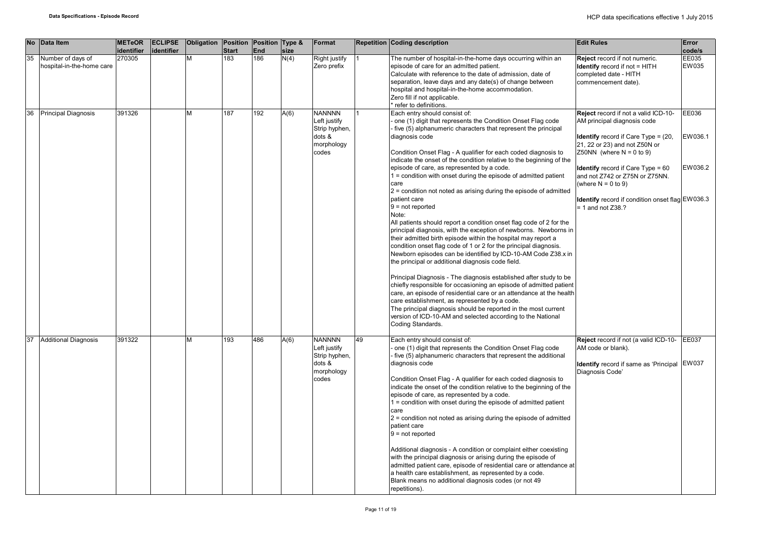| <b>No</b> | Data Item                                      | <b>METeOR</b><br>identifier | <b>ECLIPSE</b><br>identifier | Obligation Position Position Type & | <b>Start</b> | End | size | Format                                                                          |    | <b>Repetition Coding description</b>                                                                                                                                                                                                                                                                                                                                                                                                                                                                                                                                                                                                                                                                                                                                                                                                                                                                                                                                                                                                                                                                                                                                                                                                                                                                                                                                                                      | <b>Edit Rules</b>                                                                                                                                                                                                                                                                                                                                                        | Error<br>code/s             |
|-----------|------------------------------------------------|-----------------------------|------------------------------|-------------------------------------|--------------|-----|------|---------------------------------------------------------------------------------|----|-----------------------------------------------------------------------------------------------------------------------------------------------------------------------------------------------------------------------------------------------------------------------------------------------------------------------------------------------------------------------------------------------------------------------------------------------------------------------------------------------------------------------------------------------------------------------------------------------------------------------------------------------------------------------------------------------------------------------------------------------------------------------------------------------------------------------------------------------------------------------------------------------------------------------------------------------------------------------------------------------------------------------------------------------------------------------------------------------------------------------------------------------------------------------------------------------------------------------------------------------------------------------------------------------------------------------------------------------------------------------------------------------------------|--------------------------------------------------------------------------------------------------------------------------------------------------------------------------------------------------------------------------------------------------------------------------------------------------------------------------------------------------------------------------|-----------------------------|
| 35        | Number of days of<br>hospital-in-the-home care | 270305                      |                              | М                                   | 183          | 186 | N(4) | Right justify<br>Zero prefix                                                    |    | The number of hospital-in-the-home days occurring within an<br>episode of care for an admitted patient.<br>Calculate with reference to the date of admission, date of<br>separation, leave days and any date(s) of change between<br>hospital and hospital-in-the-home accommodation.<br>Zero fill if not applicable.<br>refer to definitions.                                                                                                                                                                                                                                                                                                                                                                                                                                                                                                                                                                                                                                                                                                                                                                                                                                                                                                                                                                                                                                                            | Reject record if not numeric.<br><b>Identify</b> record if not = HITH<br>completed date - HITH<br>commencement date).                                                                                                                                                                                                                                                    | EE035<br>EW035              |
| 36        | <b>Principal Diagnosis</b>                     | 391326                      |                              | М                                   | 187          | 192 | A(6) | <b>NANNNN</b><br>Left justify<br>Strip hyphen,<br>dots &<br>morphology<br>codes |    | Each entry should consist of:<br>one (1) digit that represents the Condition Onset Flag code<br>five (5) alphanumeric characters that represent the principal<br>diagnosis code<br>Condition Onset Flag - A qualifier for each coded diagnosis to<br>indicate the onset of the condition relative to the beginning of the<br>episode of care, as represented by a code.<br>$1 =$ condition with onset during the episode of admitted patient<br>care<br>$2$ = condition not noted as arising during the episode of admitted<br>patient care<br>$9 = not reported$<br>Note:<br>All patients should report a condition onset flag code of 2 for the<br>principal diagnosis, with the exception of newborns. Newborns in<br>their admitted birth episode within the hospital may report a<br>condition onset flag code of 1 or 2 for the principal diagnosis.<br>Newborn episodes can be identified by ICD-10-AM Code Z38.x in<br>the principal or additional diagnosis code field.<br>Principal Diagnosis - The diagnosis established after study to be<br>chiefly responsible for occasioning an episode of admitted patient<br>care, an episode of residential care or an attendance at the health<br>care establishment, as represented by a code.<br>The principal diagnosis should be reported in the most current<br>version of ICD-10-AM and selected according to the National<br>Coding Standards. | Reject record if not a valid ICD-10-<br>AM principal diagnosis code<br><b>Identify</b> record if Care Type = $(20, 10)$<br>21, 22 or 23) and not Z50N or<br>Z50NN (where $N = 0$ to 9)<br><b>Identify</b> record if Care $Type = 60$<br>and not Z742 or Z75N or Z75NN.<br>(where $N = 0$ to 9)<br>Identify record if condition onset flag EW036.3<br>$= 1$ and not Z38.? | EE036<br>EW036.1<br>EW036.2 |
| 37        | <b>Additional Diagnosis</b>                    | 391322                      |                              | м                                   | 193          | 486 | A(6) | <b>NANNNN</b><br>Left justify<br>Strip hyphen,<br>dots &<br>morphology<br>codes | 49 | Each entry should consist of:<br>one (1) digit that represents the Condition Onset Flag code<br>five (5) alphanumeric characters that represent the additional<br>diagnosis code<br>Condition Onset Flag - A qualifier for each coded diagnosis to<br>indicate the onset of the condition relative to the beginning of the<br>episode of care, as represented by a code.<br>$1 =$ condition with onset during the episode of admitted patient<br>care<br>$2$ = condition not noted as arising during the episode of admitted<br>patient care<br>$9 = not reported$<br>Additional diagnosis - A condition or complaint either coexisting<br>with the principal diagnosis or arising during the episode of<br>admitted patient care, episode of residential care or attendance at<br>a health care establishment, as represented by a code.<br>Blank means no additional diagnosis codes (or not 49<br>repetitions).                                                                                                                                                                                                                                                                                                                                                                                                                                                                                        | Reject record if not (a valid ICD-10- EE037<br>AM code or blank).<br>Identify record if same as 'Principal EW037<br>Diagnosis Code'                                                                                                                                                                                                                                      |                             |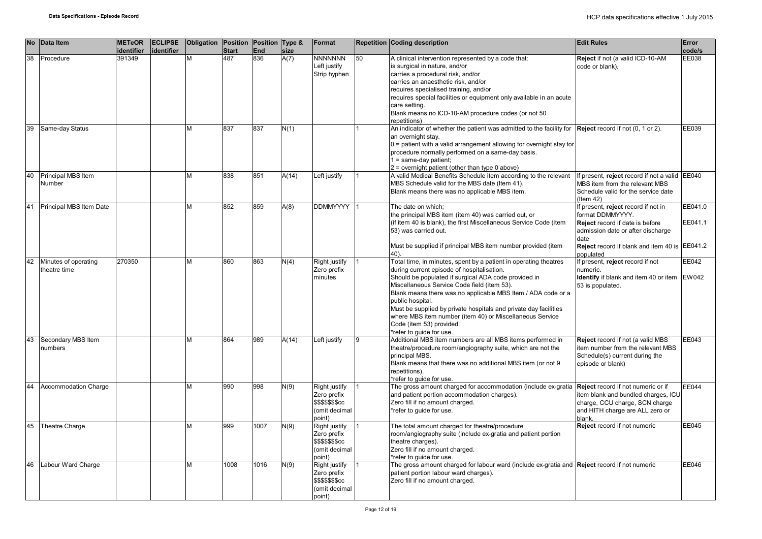|    | No Data Item                         | <b>METeOR</b><br>identifier | <b>ECLIPSE</b><br>identifier | Obligation Position Position Type & | <b>Start</b> | <b>End</b> | size  | Format                                                                             |    | <b>Repetition Coding description</b>                                                                                                                                                                                                                                                                                                                                                                                                                                                              | <b>Edit Rules</b>                                                                                                                                                                                            | <b>Error</b><br>code/s |
|----|--------------------------------------|-----------------------------|------------------------------|-------------------------------------|--------------|------------|-------|------------------------------------------------------------------------------------|----|---------------------------------------------------------------------------------------------------------------------------------------------------------------------------------------------------------------------------------------------------------------------------------------------------------------------------------------------------------------------------------------------------------------------------------------------------------------------------------------------------|--------------------------------------------------------------------------------------------------------------------------------------------------------------------------------------------------------------|------------------------|
| 38 | Procedure                            | 391349                      |                              | M                                   | 487          | 836        | A(7)  | <b>NNNNNNN</b><br>Left justify<br>Strip hyphen                                     | 50 | A clinical intervention represented by a code that:<br>is surgical in nature, and/or<br>carries a procedural risk, and/or<br>carries an anaesthetic risk, and/or<br>requires specialised training, and/or<br>requires special facilities or equipment only available in an acute<br>care setting.<br>Blank means no ICD-10-AM procedure codes (or not 50<br>repetitions)                                                                                                                          | Reject if not (a valid ICD-10-AM<br>code or blank).                                                                                                                                                          | EE038                  |
| 39 | Same-day Status                      |                             |                              | М                                   | 837          | 837        | N(1)  |                                                                                    |    | An indicator of whether the patient was admitted to the facility for Reject record if not (0, 1 or 2).<br>an overnight stay.<br>$0$ = patient with a valid arrangement allowing for overnight stay for<br>procedure normally performed on a same-day basis.<br>1 = same-day patient;<br>2 = overnight patient (other than type 0 above)                                                                                                                                                           |                                                                                                                                                                                                              | EE039                  |
| 40 | Principal MBS Item<br>Number         |                             |                              | М                                   | 838          | 851        | A(14) | Left justify                                                                       |    | A valid Medical Benefits Schedule item according to the relevant<br>MBS Schedule valid for the MBS date (Item 41).<br>Blank means there was no applicable MBS item.                                                                                                                                                                                                                                                                                                                               | If present, reject record if not a valid EE040<br>MBS item from the relevant MBS<br>Schedule valid for the service date<br>$($ ltem 42 $)$                                                                   |                        |
| 41 | Principal MBS Item Date              |                             |                              | М                                   | 852          | 859        | A(8)  | <b>DDMMYYYY</b>                                                                    |    | The date on which;<br>the principal MBS item (item 40) was carried out, or<br>(if item 40 is blank), the first Miscellaneous Service Code (item<br>53) was carried out.<br>Must be supplied if principal MBS item number provided (item<br>40).                                                                                                                                                                                                                                                   | If present, reject record if not in<br>format DDMMYYYY.<br><b>Reject</b> record if date is before<br>admission date or after discharge<br>date<br>Reject record if blank and item 40 is EE041.2<br>populated | EE041.0<br>EE041.1     |
| 42 | Minutes of operating<br>theatre time | 270350                      |                              | М                                   | 860          | 863        | N(4)  | <b>Right justify</b><br>Zero prefix<br>minutes                                     |    | Total time, in minutes, spent by a patient in operating theatres<br>during current episode of hospitalisation.<br>Should be populated if surgical ADA code provided in<br>Miscellaneous Service Code field (item 53).<br>Blank means there was no applicable MBS Item / ADA code or a<br>public hospital.<br>Must be supplied by private hospitals and private day facilities<br>where MBS item number (item 40) or Miscellaneous Service<br>Code (item 53) provided.<br>*refer to quide for use. | If present, reject record if not<br>numeric.<br>Identify if blank and item 40 or item<br>53 is populated.                                                                                                    | EE042<br><b>EW042</b>  |
| 43 | Secondary MBS Item<br>numbers        |                             |                              | М                                   | 864          | 989        | A(14) | Left justify                                                                       | 9  | Additional MBS item numbers are all MBS items performed in<br>theatre/procedure room/angiography suite, which are not the<br>principal MBS.<br>Blank means that there was no additional MBS item (or not 9<br>repetitions).<br>*refer to quide for use.                                                                                                                                                                                                                                           | Reject record if not (a valid MBS<br>item number from the relevant MBS<br>Schedule(s) current during the<br>episode or blank)                                                                                | EE043                  |
| 44 | <b>Accommodation Charge</b>          |                             |                              | М                                   | 990          | 998        | N(9)  | Right justify<br>Zero prefix<br><b>\$\$\$\$\$\$\$cc</b><br>(omit decimal<br>point) |    | The gross amount charged for accommodation (include ex-gratia<br>and patient portion accommodation charges).<br>Zero fill if no amount charged.<br>*refer to quide for use.                                                                                                                                                                                                                                                                                                                       | Reject record if not numeric or if<br>item blank and bundled charges, ICU<br>charge, CCU charge, SCN charge<br>and HITH charge are ALL zero or<br>blank.                                                     | EE044                  |
| 45 | <b>Theatre Charge</b>                |                             |                              | М                                   | 999          | 1007       | N(9)  | Right justify<br>Zero prefix<br><b>\$\$\$\$\$\$\$cc</b><br>(omit decimal<br>point) |    | The total amount charged for theatre/procedure<br>room/angiography suite (include ex-gratia and patient portion<br>theatre charges).<br>Zero fill if no amount charged.<br>*refer to guide for use.                                                                                                                                                                                                                                                                                               | Reject record if not numeric                                                                                                                                                                                 | EE045                  |
| 46 | Labour Ward Charge                   |                             |                              | М                                   | 1008         | 1016       | N(9)  | Right justify<br>Zero prefix<br>\$\$\$\$\$\$\$cc<br>(omit decimal<br>point)        |    | The gross amount charged for labour ward (include ex-gratia and Reject record if not numeric<br>patient portion labour ward charges).<br>Zero fill if no amount charged.                                                                                                                                                                                                                                                                                                                          |                                                                                                                                                                                                              | EE046                  |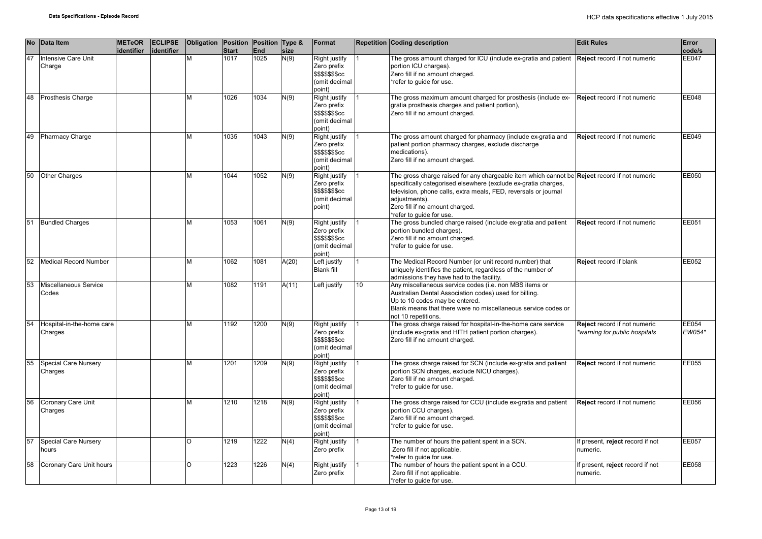|    | No Data Item                           | <b>METeOR</b><br>identifier | <b>ECLIPSE</b><br>identifier | Obligation Position Position Type & | <b>Start</b> | <b>End</b> | size         | Format                                                                      |                 | <b>Repetition Coding description</b>                                                                                                                                                                                                                                                                              | <b>Edit Rules</b>                                             | Error<br>code/s |
|----|----------------------------------------|-----------------------------|------------------------------|-------------------------------------|--------------|------------|--------------|-----------------------------------------------------------------------------|-----------------|-------------------------------------------------------------------------------------------------------------------------------------------------------------------------------------------------------------------------------------------------------------------------------------------------------------------|---------------------------------------------------------------|-----------------|
| 47 | <b>Intensive Care Unit</b><br>Charge   |                             |                              | M                                   | 1017         | 1025       | N(9)         | Right justify<br>Zero prefix<br>\$\$\$\$\$\$\$cc<br>(omit decimal<br>(point |                 | The gross amount charged for ICU (include ex-gratia and patient<br>portion ICU charges).<br>Zero fill if no amount charged.<br>*refer to guide for use.                                                                                                                                                           | Reject record if not numeric                                  | <b>EE047</b>    |
| 48 | <b>Prosthesis Charge</b>               |                             |                              | M                                   | 1026         | 1034       | $\sqrt{(9)}$ | Right justify<br>Zero prefix<br>\$\$\$\$\$\$\$cc<br>(omit decimal<br>point) |                 | The gross maximum amount charged for prosthesis (include ex-<br>gratia prosthesis charges and patient portion),<br>Zero fill if no amount charged.                                                                                                                                                                | Reject record if not numeric                                  | EE048           |
| 49 | <b>Pharmacy Charge</b>                 |                             |                              | M                                   | 1035         | 1043       | N(9)         | Right justify<br>Zero prefix<br>\$\$\$\$\$\$\$cc<br>(omit decimal<br>(point |                 | The gross amount charged for pharmacy (include ex-gratia and<br>patient portion pharmacy charges, exclude discharge<br>medications).<br>Zero fill if no amount charged.                                                                                                                                           | Reject record if not numeric                                  | EE049           |
| 50 | <b>Other Charges</b>                   |                             |                              | м                                   | 1044         | 1052       | N(9)         | Right justify<br>Zero prefix<br>\$\$\$\$\$\$\$cc<br>(omit decimal<br>point) |                 | The gross charge raised for any chargeable item which cannot be Reject record if not numeric<br>specifically categorised elsewhere (exclude ex-gratia charges,<br>television, phone calls, extra meals, FED, reversals or journal<br>adiustments).<br>Zero fill if no amount charged.<br>*refer to guide for use. |                                                               | EE050           |
| 51 | <b>Bundled Charges</b>                 |                             |                              | M                                   | 1053         | 1061       | N(9)         | Right justify<br>Zero prefix<br>\$\$\$\$\$\$\$cc<br>(omit decimal<br>point) |                 | The gross bundled charge raised (include ex-gratia and patient<br>portion bundled charges).<br>Zero fill if no amount charged.<br>*refer to guide for use.                                                                                                                                                        | Reject record if not numeric                                  | EE051           |
| 52 | Medical Record Number                  |                             |                              | M                                   | 1062         | 1081       | A(20)        | Left justify<br><b>Blank fill</b>                                           |                 | The Medical Record Number (or unit record number) that<br>uniquely identifies the patient, regardless of the number of<br>admissions they have had to the facility.                                                                                                                                               | Reject record if blank                                        | EE052           |
| 53 | Miscellaneous Service<br>Codes         |                             |                              | м                                   | 1082         | 1191       | A(11)        | Left justify                                                                | 10 <sup>1</sup> | Any miscellaneous service codes (i.e. non MBS items or<br>Australian Dental Association codes) used for billing.<br>Up to 10 codes may be entered.<br>Blank means that there were no miscellaneous service codes or<br>not 10 repetitions.                                                                        |                                                               |                 |
| 54 | Hospital-in-the-home care<br>Charges   |                             |                              | M                                   | 1192         | 1200       | N(9)         | Right justify<br>Zero prefix<br>\$\$\$\$\$\$\$cc<br>(omit decimal<br>point) |                 | The gross charge raised for hospital-in-the-home care service<br>(include ex-gratia and HITH patient portion charges).<br>Zero fill if no amount charged.                                                                                                                                                         | Reject record if not numeric<br>*warning for public hospitals | EE054<br>EW054* |
| 55 | <b>Special Care Nursery</b><br>Charges |                             |                              | M                                   | 1201         | 1209       | N(9)         | Right justify<br>Zero prefix<br>\$\$\$\$\$\$\$cc<br>(omit decimal<br>(point |                 | The gross charge raised for SCN (include ex-gratia and patient<br>portion SCN charges, exclude NICU charges).<br>Zero fill if no amount charged.<br>*refer to quide for use.                                                                                                                                      | Reject record if not numeric                                  | <b>EE055</b>    |
| 56 | Coronary Care Unit<br>Charges          |                             |                              | M                                   | 1210         | 1218       | N(9)         | Right justify<br>Zero prefix<br>\$\$\$\$\$\$\$cc<br>(omit decimal<br>point) |                 | The gross charge raised for CCU (include ex-gratia and patient<br>portion CCU charges).<br>Zero fill if no amount charged.<br>*refer to guide for use.                                                                                                                                                            | Reject record if not numeric                                  | EE056           |
| 57 | Special Care Nursery<br>hours          |                             |                              | O                                   | 1219         | 1222       | N(4)         | Right justify<br>Zero prefix                                                |                 | The number of hours the patient spent in a SCN.<br>Zero fill if not applicable.<br>*refer to quide for use.                                                                                                                                                                                                       | If present, reject record if not<br>numeric.                  | <b>EE057</b>    |
| 58 | Coronary Care Unit hours               |                             |                              | O                                   | 1223         | 1226       | N(4)         | Right justify<br>Zero prefix                                                |                 | The number of hours the patient spent in a CCU.<br>Zero fill if not applicable.<br>*refer to quide for use.                                                                                                                                                                                                       | If present, reject record if not<br>numeric.                  | <b>EE058</b>    |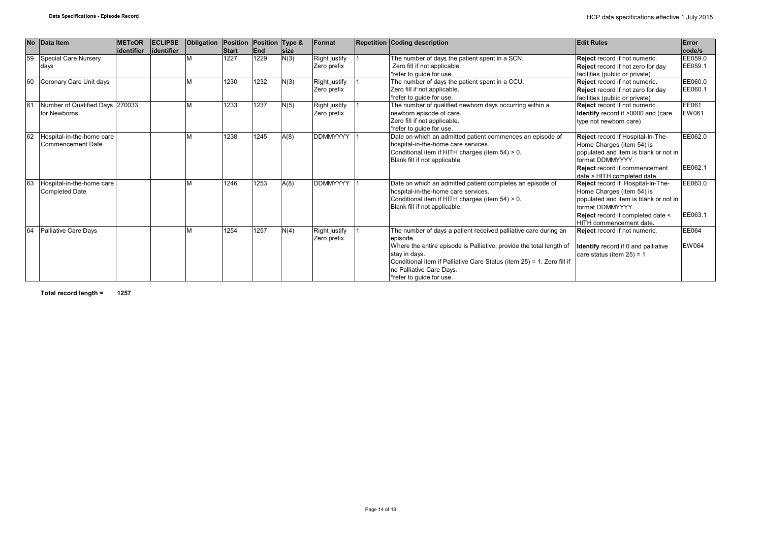|    | No Data Item                                       | <b>METeOR</b><br>lidentifier | <b>ECLIPSE</b><br>lidentifier | Obligation | Position Position Type &<br><b>Start</b> | <b>End</b> | <b>Isize</b> | Format                       | <b>Repetition Coding description</b>                                                                                                                                                                                                                                                                  | <b>Edit Rules</b>                                                                                                                                                                                                          | Error<br>code/s    |
|----|----------------------------------------------------|------------------------------|-------------------------------|------------|------------------------------------------|------------|--------------|------------------------------|-------------------------------------------------------------------------------------------------------------------------------------------------------------------------------------------------------------------------------------------------------------------------------------------------------|----------------------------------------------------------------------------------------------------------------------------------------------------------------------------------------------------------------------------|--------------------|
| 59 | Special Care Nursery<br>days                       |                              |                               | M          | 1227                                     | 1229       | N(3)         | Right justify<br>Zero prefix | The number of days the patient spent in a SCN.<br>Zero fill if not applicable.<br>*refer to quide for use.                                                                                                                                                                                            | Reject record if not numeric.<br><b>Reject</b> record if not zero for day<br>facilities (public or private)                                                                                                                | EE059.0<br>EE059.1 |
| 60 | Coronary Care Unit days                            |                              |                               |            | 1230                                     | 1232       | N(3)         | Right justify<br>Zero prefix | The number of days the patient spent in a CCU.<br>Zero fill if not applicable.<br>*refer to quide for use.                                                                                                                                                                                            | Reject record if not numeric.<br>Reject record if not zero for day<br>facilities (public or private)                                                                                                                       | EE060.0<br>EE060.1 |
|    | Number of Qualified Days 270033<br>for Newborns    |                              |                               |            | 1233                                     | 1237       | N(5)         | Right justify<br>Zero prefix | The number of qualified newborn days occurring within a<br>newborn episode of care.<br>Zero fill if not applicable.<br>*refer to quide for use.                                                                                                                                                       | Reject record if not numeric.<br>Identify record if >0000 and (care<br>type not newborn care)                                                                                                                              | EE061<br>EW061     |
| 62 | Hospital-in-the-home care<br>Commencement Date     |                              |                               |            | 1238                                     | 1245       | A(8)         | <b>DDMMYYYY</b>              | Date on which an admitted patient commences an episode of<br>hospital-in-the-home care services.<br>Conditional item if HITH charges (item 54) > 0.<br>Blank fill if not applicable.                                                                                                                  | Reject record if Hospital-In-The-<br>Home Charges (item 54) is<br>populated and item is blank or not in<br>format DDMMYYYY.<br><b>Reject</b> record if commencement                                                        | EE062.0<br>EE062.1 |
|    | Hospital-in-the-home care<br><b>Completed Date</b> |                              |                               |            | 1246                                     | 1253       | A(8)         | <b>DDMMYYYY</b>              | Date on which an admitted patient completes an episode of<br>hospital-in-the-home care services.<br>Conditional item if HITH charges (item 54) > 0.<br>Blank fill if not applicable.                                                                                                                  | date > HITH completed date.<br>Reject record if Hospital-In-The-<br>Home Charges (item 54) is<br>populated and item is blank or not in<br>format DDMMYYYY.<br>Reject record if completed date <<br>HITH commencement date. | EE063.0<br>EE063.1 |
|    | Palliative Care Days                               |                              |                               |            | 1254                                     | 1257       | N(4)         | Right justify<br>Zero prefix | The number of days a patient received palliative care during an<br>episode.<br>Where the entire episode is Palliative, provide the total length of<br>stay in days.<br>Conditional item if Palliative Care Status (item 25) = 1. Zero fill if<br>no Palliative Care Days.<br>*refer to quide for use. | Reject record if not numeric.<br><b>Identify</b> record if 0 and palliative<br>care status (item $25$ ) = 1                                                                                                                | EE064<br>EW064     |

**Total record length = 1257**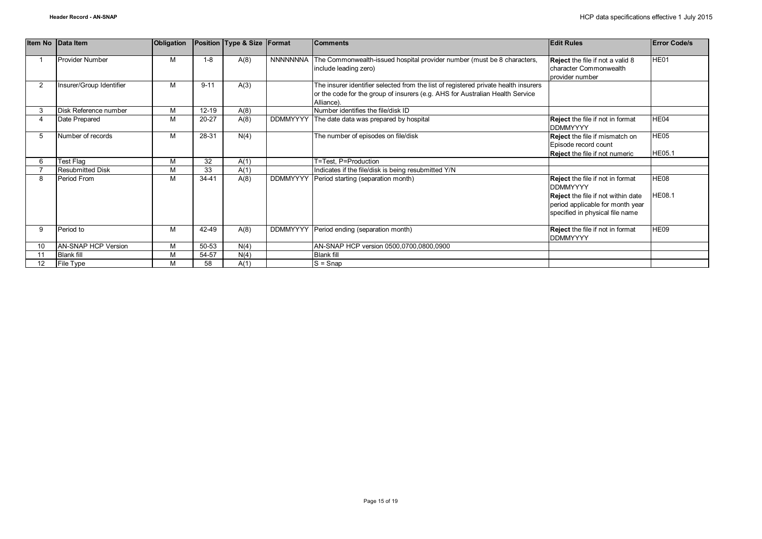|                 | Item No Data Item        | Obligation |           | Position Type & Size Format |                 | <b>Comments</b>                                                                                                                                                                    | <b>Edit Rules</b>                                                                                                                                                              | <b>Error Code/s</b>   |
|-----------------|--------------------------|------------|-----------|-----------------------------|-----------------|------------------------------------------------------------------------------------------------------------------------------------------------------------------------------------|--------------------------------------------------------------------------------------------------------------------------------------------------------------------------------|-----------------------|
|                 | Provider Number          | M          | $1 - 8$   | A(8)                        | NNNNNNNA        | The Commonwealth-issued hospital provider number (must be 8 characters,<br>include leading zero)                                                                                   | Reject the file if not a valid 8<br>character Commonwealth<br>provider number                                                                                                  | HE01                  |
| $\overline{2}$  | Insurer/Group Identifier | M          | $9 - 11$  | A(3)                        |                 | The insurer identifier selected from the list of registered private health insurers<br>or the code for the group of insurers (e.g. AHS for Australian Health Service<br>Alliance). |                                                                                                                                                                                |                       |
| 3               | Disk Reference number    | M          | $12 - 19$ | A(8)                        |                 | Number identifies the file/disk ID                                                                                                                                                 |                                                                                                                                                                                |                       |
|                 | Date Prepared            | M          | 20-27     | A(8)                        | <b>DDMMYYYY</b> | The date data was prepared by hospital                                                                                                                                             | <b>Reject</b> the file if not in format<br><b>DDMMYYYY</b>                                                                                                                     | HE04                  |
| 5               | Number of records        | M          | 28-31     | N(4)                        |                 | The number of episodes on file/disk                                                                                                                                                | Reject the file if mismatch on<br>Episode record count<br><b>Reject</b> the file if not numeric                                                                                | HE05<br><b>HE05.1</b> |
| 6               | Test Flag                | M          | 32        | A(1)                        |                 | T=Test, P=Production                                                                                                                                                               |                                                                                                                                                                                |                       |
|                 | <b>Resubmitted Disk</b>  | M          | 33        | A(1)                        |                 | Indicates if the file/disk is being resubmitted Y/N                                                                                                                                |                                                                                                                                                                                |                       |
| 8               | Period From              | M          | $34 - 41$ | A(8)                        | <b>DDMMYYYY</b> | Period starting (separation month)                                                                                                                                                 | <b>Reject</b> the file if not in format<br><b>DDMMYYYY</b><br><b>Reject</b> the file if not within date<br>period applicable for month year<br>specified in physical file name | HE08<br><b>HE08.1</b> |
| 9               | Period to                | M          | 42-49     | A(8)                        | <b>DDMMYYYY</b> | Period ending (separation month)                                                                                                                                                   | <b>Reject</b> the file if not in format<br><b>DDMMYYYY</b>                                                                                                                     | HE09                  |
| 10              | AN-SNAP HCP Version      | M          | 50-53     | N(4)                        |                 | AN-SNAP HCP version 0500,0700,0800,0900                                                                                                                                            |                                                                                                                                                                                |                       |
|                 | <b>Blank fill</b>        | M          | 54-57     | N(4)                        |                 | <b>Blank fill</b>                                                                                                                                                                  |                                                                                                                                                                                |                       |
| 12 <sup>2</sup> | File Type                | M          | 58        | A(1)                        |                 | $S =$ Snap                                                                                                                                                                         |                                                                                                                                                                                |                       |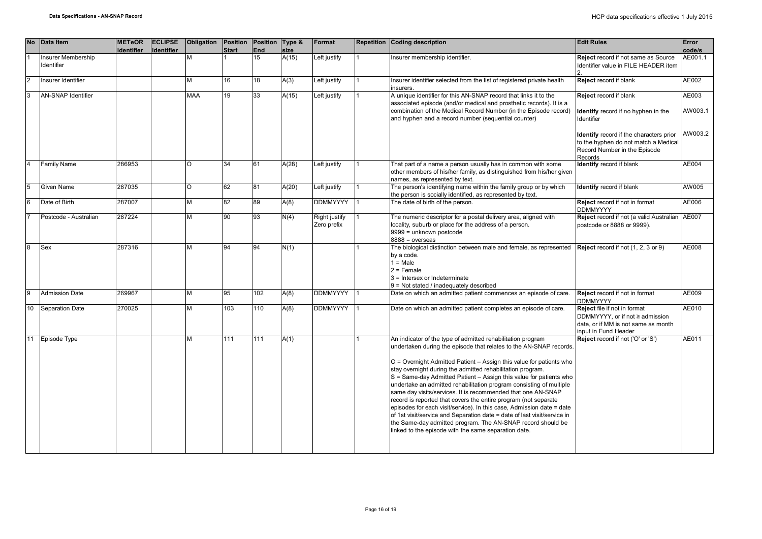|               | <b>No</b><br>Data Item           | <b>METeOR</b><br>identifier | <b>ECLIPSE</b><br>identifier | Obligation | <b>Position</b><br><b>Start</b> | <b>Position</b><br>End | Type &<br>size | Format                       | Repetition Coding description                                                                                                                                                                                                                                                                                                                                                                                                                                                                                                                                                                                                                                                                                                                                                                                                      | <b>Edit Rules</b>                                                                                                                 | Error<br>code/s  |
|---------------|----------------------------------|-----------------------------|------------------------------|------------|---------------------------------|------------------------|----------------|------------------------------|------------------------------------------------------------------------------------------------------------------------------------------------------------------------------------------------------------------------------------------------------------------------------------------------------------------------------------------------------------------------------------------------------------------------------------------------------------------------------------------------------------------------------------------------------------------------------------------------------------------------------------------------------------------------------------------------------------------------------------------------------------------------------------------------------------------------------------|-----------------------------------------------------------------------------------------------------------------------------------|------------------|
|               | Insurer Membership<br>Identifier |                             |                              | М          |                                 | 15                     | A(15)          | Left justify                 | Insurer membership identifier.                                                                                                                                                                                                                                                                                                                                                                                                                                                                                                                                                                                                                                                                                                                                                                                                     | <b>Reject</b> record if not same as Source<br>Identifier value in FILE HEADER item                                                | AE001.1          |
| $\mathcal{P}$ | Insurer Identifier               |                             |                              | M          | 16                              | 18                     | A(3)           | Left justify                 | Insurer identifier selected from the list of registered private health<br>insurers.                                                                                                                                                                                                                                                                                                                                                                                                                                                                                                                                                                                                                                                                                                                                                | <b>Reject</b> record if blank                                                                                                     | AE002            |
| <sub>3</sub>  | <b>AN-SNAP Identifier</b>        |                             |                              | <b>MAA</b> | 19                              | 33                     | A(15)          | Left justify                 | A unique identifier for this AN-SNAP record that links it to the<br>associated episode (and/or medical and prosthetic records). It is a<br>combination of the Medical Record Number (in the Episode record)<br>and hyphen and a record number (sequential counter)                                                                                                                                                                                                                                                                                                                                                                                                                                                                                                                                                                 | <b>Reject</b> record if blank<br>Identify record if no hyphen in the<br>Identifier                                                | AE003<br>AW003.1 |
|               |                                  |                             |                              |            |                                 |                        |                |                              |                                                                                                                                                                                                                                                                                                                                                                                                                                                                                                                                                                                                                                                                                                                                                                                                                                    | <b>Identify</b> record if the characters prior<br>to the hyphen do not match a Medical<br>Record Number in the Episode<br>Records | AW003.2          |
|               | Family Name                      | 286953                      |                              | $\Omega$   | 34                              | 61                     | A(28)          | Left justify                 | That part of a name a person usually has in common with some<br>other members of his/her family, as distinguished from his/her given<br>names, as represented by text.                                                                                                                                                                                                                                                                                                                                                                                                                                                                                                                                                                                                                                                             | Identify record if blank                                                                                                          | AE004            |
| 5             | <b>Given Name</b>                | 287035                      |                              | O          | 62                              | 81                     | A(20)          | Left justify                 | The person's identifying name within the family group or by which<br>the person is socially identified, as represented by text.                                                                                                                                                                                                                                                                                                                                                                                                                                                                                                                                                                                                                                                                                                    | Identify record if blank                                                                                                          | AW005            |
| 6             | Date of Birth                    | 287007                      |                              | M          | 82                              | 89                     | A(8)           | <b>DDMMYYYY</b>              | The date of birth of the person.                                                                                                                                                                                                                                                                                                                                                                                                                                                                                                                                                                                                                                                                                                                                                                                                   | Reject record if not in format<br><b>DDMMYYYY</b>                                                                                 | AE006            |
|               | Postcode - Australian            | 287224                      |                              | M          | 90                              | 93                     | N(4)           | Right justify<br>Zero prefix | The numeric descriptor for a postal delivery area, aligned with<br>locality, suburb or place for the address of a person.<br>9999 = unknown postcode<br>$8888 = 0$ verseas                                                                                                                                                                                                                                                                                                                                                                                                                                                                                                                                                                                                                                                         | Reject record if not (a valid Australian AE007<br>postcode or 8888 or 9999).                                                      |                  |
| <b>R</b>      | <b>Sex</b>                       | 287316                      |                              | M          | 94                              | 94                     | N(1)           |                              | The biological distinction between male and female, as represented<br>by a code.<br>$1 = Male$<br>$2$ = Female<br>3 = Intersex or Indeterminate<br>9 = Not stated / inadequately described                                                                                                                                                                                                                                                                                                                                                                                                                                                                                                                                                                                                                                         | <b>Reject</b> record if not (1, 2, 3 or 9)                                                                                        | AE008            |
| q             | <b>Admission Date</b>            | 269967                      |                              | M          | 95                              | 102                    | A(8)           | <b>DDMMYYYY</b>              | Date on which an admitted patient commences an episode of care.                                                                                                                                                                                                                                                                                                                                                                                                                                                                                                                                                                                                                                                                                                                                                                    | Reject record if not in format<br><b>DDMMYYYY</b>                                                                                 | AE009            |
|               | 10<br><b>Separation Date</b>     | 270025                      |                              | M          | 103                             | 110                    | A(8)           | <b>DDMMYYYY</b>              | Date on which an admitted patient completes an episode of care.                                                                                                                                                                                                                                                                                                                                                                                                                                                                                                                                                                                                                                                                                                                                                                    | Reject file if not in format<br>DDMMYYYY, or if not ≥ admission<br>date. or if MM is not same as month<br>input in Fund Header    | AE010            |
|               | 11 Episode Type                  |                             |                              | M          | 111                             | 111                    | A(1)           |                              | An indicator of the type of admitted rehabilitation program<br>undertaken during the episode that relates to the AN-SNAP records.<br>O = Overnight Admitted Patient - Assign this value for patients who<br>stay overnight during the admitted rehabilitation program.<br>S = Same-day Admitted Patient - Assign this value for patients who<br>undertake an admitted rehabilitation program consisting of multiple<br>same day visits/services. It is recommended that one AN-SNAP<br>record is reported that covers the entire program (not separate<br>episodes for each visit/service). In this case, Admission date = date<br>of 1st visit/service and Separation date = date of last visit/service in<br>the Same-day admitted program. The AN-SNAP record should be<br>linked to the episode with the same separation date. | <b>Reject</b> record if not ('O' or 'S')                                                                                          | AE011            |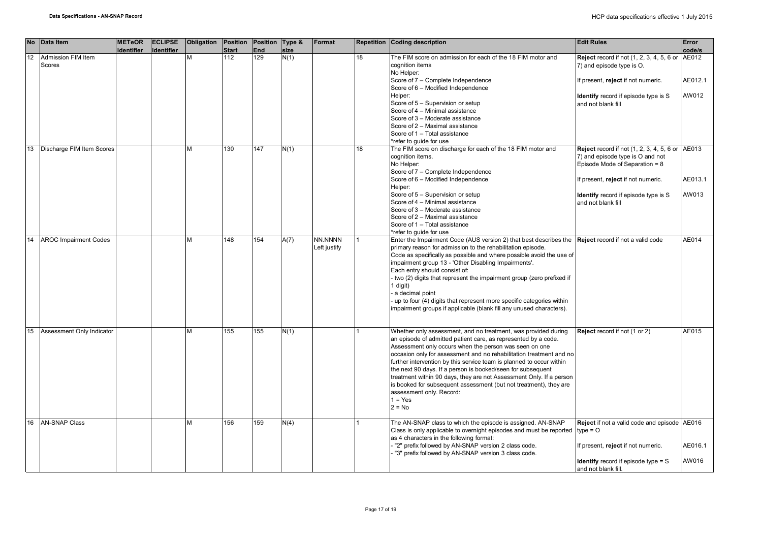|    | No Data Item                 | <b>METeOR</b><br>identifier | <b>ECLIPSE</b><br>identifier | Obligation | Position Position Type &<br><b>Start</b> | End | size | Format                  |    | <b>Repetition Coding description</b>                                                                                                                                                                                                  | <b>Edit Rules</b>                                                                                                      | Error<br>code/s |
|----|------------------------------|-----------------------------|------------------------------|------------|------------------------------------------|-----|------|-------------------------|----|---------------------------------------------------------------------------------------------------------------------------------------------------------------------------------------------------------------------------------------|------------------------------------------------------------------------------------------------------------------------|-----------------|
| 12 | Admission FIM Item<br>Scores |                             |                              | M          | 112                                      | 129 | N(1) |                         | 18 | The FIM score on admission for each of the 18 FIM motor and<br>cognition items<br>No Helper:                                                                                                                                          | <b>Reject</b> record if not (1, 2, 3, 4, 5, 6 or<br>7) and episode type is O.                                          | AE012           |
|    |                              |                             |                              |            |                                          |     |      |                         |    | Score of 7 - Complete Independence<br>Score of 6 - Modified Independence                                                                                                                                                              | If present, reject if not numeric.                                                                                     | AE012.1         |
|    |                              |                             |                              |            |                                          |     |      |                         |    | Helper:<br>Score of 5 - Supervision or setup<br>Score of 4 - Minimal assistance                                                                                                                                                       | <b>Identify</b> record if episode type is S<br>and not blank fill                                                      | AW012           |
|    |                              |                             |                              |            |                                          |     |      |                         |    | Score of 3 - Moderate assistance<br>Score of 2 - Maximal assistance<br>Score of 1 - Total assistance                                                                                                                                  |                                                                                                                        |                 |
|    |                              |                             |                              |            |                                          |     |      |                         |    | *refer to quide for use                                                                                                                                                                                                               |                                                                                                                        |                 |
| 13 | Discharge FIM Item Scores    |                             |                              | M          | 130                                      | 147 | N(1) |                         | 18 | The FIM score on discharge for each of the 18 FIM motor and<br>cognition items.<br>No Helper:                                                                                                                                         | <b>Reject</b> record if not (1, 2, 3, 4, 5, 6 or<br>7) and episode type is O and not<br>Episode Mode of Separation = 8 | AE013           |
|    |                              |                             |                              |            |                                          |     |      |                         |    | Score of 7 - Complete Independence<br>Score of 6 - Modified Independence<br>Helper:                                                                                                                                                   | If present, reject if not numeric.                                                                                     | AE013.1         |
|    |                              |                             |                              |            |                                          |     |      |                         |    | Score of 5 - Supervision or setup<br>Score of 4 - Minimal assistance                                                                                                                                                                  | <b>Identify</b> record if episode type is S<br>and not blank fill                                                      | AW013           |
|    |                              |                             |                              |            |                                          |     |      |                         |    | Score of 3 - Moderate assistance<br>Score of 2 - Maximal assistance                                                                                                                                                                   |                                                                                                                        |                 |
|    |                              |                             |                              |            |                                          |     |      |                         |    | Score of 1 - Total assistance<br>*refer to quide for use                                                                                                                                                                              |                                                                                                                        |                 |
| 14 | <b>AROC Impairment Codes</b> |                             |                              | M          | 148                                      | 154 | A(7) | NN.NNNN<br>Left justify |    | Enter the Impairment Code (AUS version 2) that best describes the <b>Reject</b> record if not a valid code<br>primary reason for admission to the rehabilitation episode.                                                             |                                                                                                                        | AE014           |
|    |                              |                             |                              |            |                                          |     |      |                         |    | Code as specifically as possible and where possible avoid the use of<br>impairment group 13 - 'Other Disabling Impairments'.<br>Each entry should consist of:<br>two (2) digits that represent the impairment group (zero prefixed if |                                                                                                                        |                 |
|    |                              |                             |                              |            |                                          |     |      |                         |    | 1 digit)<br>a decimal point<br>up to four (4) digits that represent more specific categories within                                                                                                                                   |                                                                                                                        |                 |
|    |                              |                             |                              |            |                                          |     |      |                         |    | impairment groups if applicable (blank fill any unused characters).                                                                                                                                                                   |                                                                                                                        |                 |
| 15 | Assessment Only Indicator    |                             |                              | M          | 155                                      | 155 | N(1) |                         |    | Whether only assessment, and no treatment, was provided during<br>an episode of admitted patient care, as represented by a code.                                                                                                      | Reject record if not (1 or 2)                                                                                          | AE015           |
|    |                              |                             |                              |            |                                          |     |      |                         |    | Assessment only occurs when the person was seen on one<br>occasion only for assessment and no rehabilitation treatment and no<br>further intervention by this service team is planned to occur within                                 |                                                                                                                        |                 |
|    |                              |                             |                              |            |                                          |     |      |                         |    | the next 90 days. If a person is booked/seen for subsequent<br>treatment within 90 days, they are not Assessment Only. If a person<br>is booked for subsequent assessment (but not treatment), they are                               |                                                                                                                        |                 |
|    |                              |                             |                              |            |                                          |     |      |                         |    | assessment only. Record:<br>$1 = Yes$                                                                                                                                                                                                 |                                                                                                                        |                 |
|    |                              |                             |                              |            |                                          |     |      |                         |    | $2 = No$                                                                                                                                                                                                                              |                                                                                                                        |                 |
| 16 | <b>AN-SNAP Class</b>         |                             |                              | М          | 156                                      | 159 | N(4) |                         |    | The AN-SNAP class to which the episode is assigned. AN-SNAP<br>Class is only applicable to overnight episodes and must be reported<br>as 4 characters in the following format:                                                        | Reject if not a valid code and episode AE016<br>$type = O$                                                             |                 |
|    |                              |                             |                              |            |                                          |     |      |                         |    | "2" prefix followed by AN-SNAP version 2 class code.<br>"3" prefix followed by AN-SNAP version 3 class code.                                                                                                                          | If present, reject if not numeric.                                                                                     | AE016.1         |
|    |                              |                             |                              |            |                                          |     |      |                         |    |                                                                                                                                                                                                                                       | <b>Identify</b> record if episode type $=$ S<br>and not blank fill.                                                    | AW016           |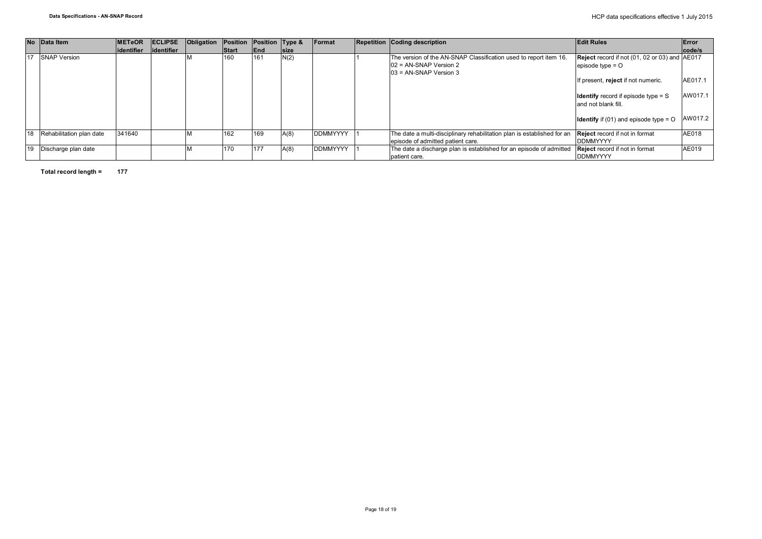|    | No Data Item             | <b>IMETeOR</b> | <b>ECLIPSE</b> | Obligation | Position     | Position Type & |             | Format          | <b>Repetition Coding description</b>                                                                                       | <b>Edit Rules</b>                                                                | Error   |
|----|--------------------------|----------------|----------------|------------|--------------|-----------------|-------------|-----------------|----------------------------------------------------------------------------------------------------------------------------|----------------------------------------------------------------------------------|---------|
|    |                          | lidentifier    | lidentifier    |            | <b>Start</b> | End             | <b>Size</b> |                 |                                                                                                                            |                                                                                  | code/s  |
|    | 17 SNAP Version          |                |                |            | 160          | 161             | N(2)        |                 | The version of the AN-SNAP Classification used to report item 16.<br>$102$ = AN-SNAP Version 2<br>$03$ = AN-SNAP Version 3 | <b>Reject</b> record if not (01, 02 or 03) and AE017<br>episode type $=$ $\circ$ |         |
|    |                          |                |                |            |              |                 |             |                 |                                                                                                                            | If present, reject if not numeric.                                               | AE017.1 |
|    |                          |                |                |            |              |                 |             |                 |                                                                                                                            | <b>Identify</b> record if episode type $=$ S<br>and not blank fill.              | AW017.1 |
|    |                          |                |                |            |              |                 |             |                 |                                                                                                                            | <b>Identify</b> if (01) and episode type $=$ O                                   | AW017.2 |
| 18 | Rehabilitation plan date | 341640         |                |            | 162          | 169             | A(8)        | <b>DDMMYYYY</b> | The date a multi-disciplinary rehabilitation plan is established for an<br>episode of admitted patient care.               | <b>Reject</b> record if not in format<br><b>DDMMYYYY</b>                         | AE018   |
| 19 | Discharge plan date      |                |                |            | 170          | 177             | A(8)        | <b>DDMMYYYY</b> | The date a discharge plan is established for an episode of admitted<br>patient care.                                       | <b>Reject</b> record if not in format<br><b>DDMMYYYY</b>                         | AE019   |

**Total record length = 177**